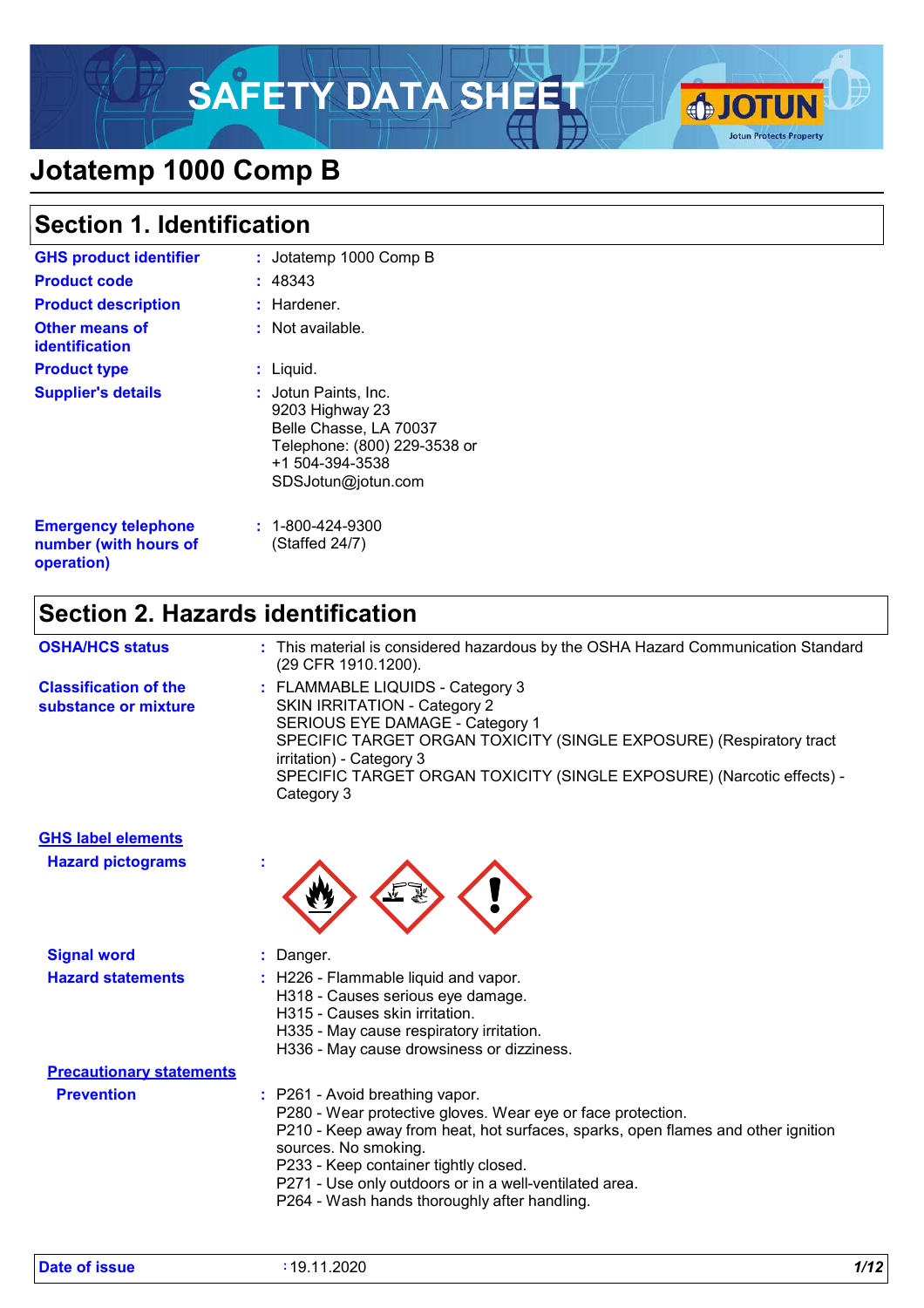# **SAFETY DATA SHEET & SOTUN**



## **Jotatemp 1000 Comp B**

### **Section 1. Identification**

| <b>GHS product identifier</b>                       | : Jotatemp 1000 Comp B                                                                                                                             |
|-----------------------------------------------------|----------------------------------------------------------------------------------------------------------------------------------------------------|
| <b>Product code</b>                                 | : 48343                                                                                                                                            |
| <b>Product description</b>                          | : Hardener.                                                                                                                                        |
| <b>Other means of</b><br><b>identification</b>      | $:$ Not available.                                                                                                                                 |
| <b>Product type</b>                                 | Liquid.<br>t.                                                                                                                                      |
| <b>Supplier's details</b>                           | <b>: J</b> otun Paints, Inc.<br>9203 Highway 23<br>Belle Chasse, LA 70037<br>Telephone: (800) 229-3538 or<br>+1 504-394-3538<br>SDSJotun@jotun.com |
| <b>Emergency telephone</b><br>number (with hours of | $: 1 - 800 - 424 - 9300$<br>(Staffed 24/7)                                                                                                         |

### **Section 2. Hazards identification**

| <b>OSHA/HCS status</b>                               | : This material is considered hazardous by the OSHA Hazard Communication Standard<br>(29 CFR 1910.1200).                                                                                                                                                                                             |
|------------------------------------------------------|------------------------------------------------------------------------------------------------------------------------------------------------------------------------------------------------------------------------------------------------------------------------------------------------------|
| <b>Classification of the</b><br>substance or mixture | : FLAMMABLE LIQUIDS - Category 3<br><b>SKIN IRRITATION - Category 2</b><br>SERIOUS EYE DAMAGE - Category 1<br>SPECIFIC TARGET ORGAN TOXICITY (SINGLE EXPOSURE) (Respiratory tract<br>irritation) - Category 3<br>SPECIFIC TARGET ORGAN TOXICITY (SINGLE EXPOSURE) (Narcotic effects) -<br>Category 3 |

| <b>GHS label elements</b> |                                                                                                                                                                                                                                                                                                                                                                                                                                                                                                                                         |
|---------------------------|-----------------------------------------------------------------------------------------------------------------------------------------------------------------------------------------------------------------------------------------------------------------------------------------------------------------------------------------------------------------------------------------------------------------------------------------------------------------------------------------------------------------------------------------|
| <b>Hazard pictograms</b>  |                                                                                                                                                                                                                                                                                                                                                                                                                                                                                                                                         |
| <b>Signal word</b>        | : Danger.                                                                                                                                                                                                                                                                                                                                                                                                                                                                                                                               |
| <b>Hazard statements</b>  | : H226 - Flammable liquid and vapor.<br>H318 - Causes serious eye damage.<br>H315 - Causes skin irritation.<br>H335 - May cause respiratory irritation.<br>$\overline{11000}$ $\overline{11}$ $\overline{1}$ $\overline{1}$ $\overline{1}$ $\overline{1}$ $\overline{1}$ $\overline{1}$ $\overline{1}$ $\overline{1}$ $\overline{1}$ $\overline{1}$ $\overline{1}$ $\overline{1}$ $\overline{1}$ $\overline{1}$ $\overline{1}$ $\overline{1}$ $\overline{1}$ $\overline{1}$ $\overline{1}$ $\overline{1}$ $\overline{1}$ $\overline{1}$ |

|                                 | H336 - May cause drowsiness or dizziness.                                                                |
|---------------------------------|----------------------------------------------------------------------------------------------------------|
| <b>Precautionary statements</b> |                                                                                                          |
| <b>Prevention</b>               | : P261 - Avoid breathing vapor.                                                                          |
|                                 | P280 - Wear protective gloves. Wear eye or face protection.                                              |
|                                 | P210 - Keep away from heat, hot surfaces, sparks, open flames and other ignition<br>sources. No smoking. |
|                                 | P233 - Keep container tightly closed.                                                                    |
|                                 | P271 - Use only outdoors or in a well-ventilated area.                                                   |
|                                 | DORA Moob bondo thoroughly ofter bondling                                                                |

**operation)**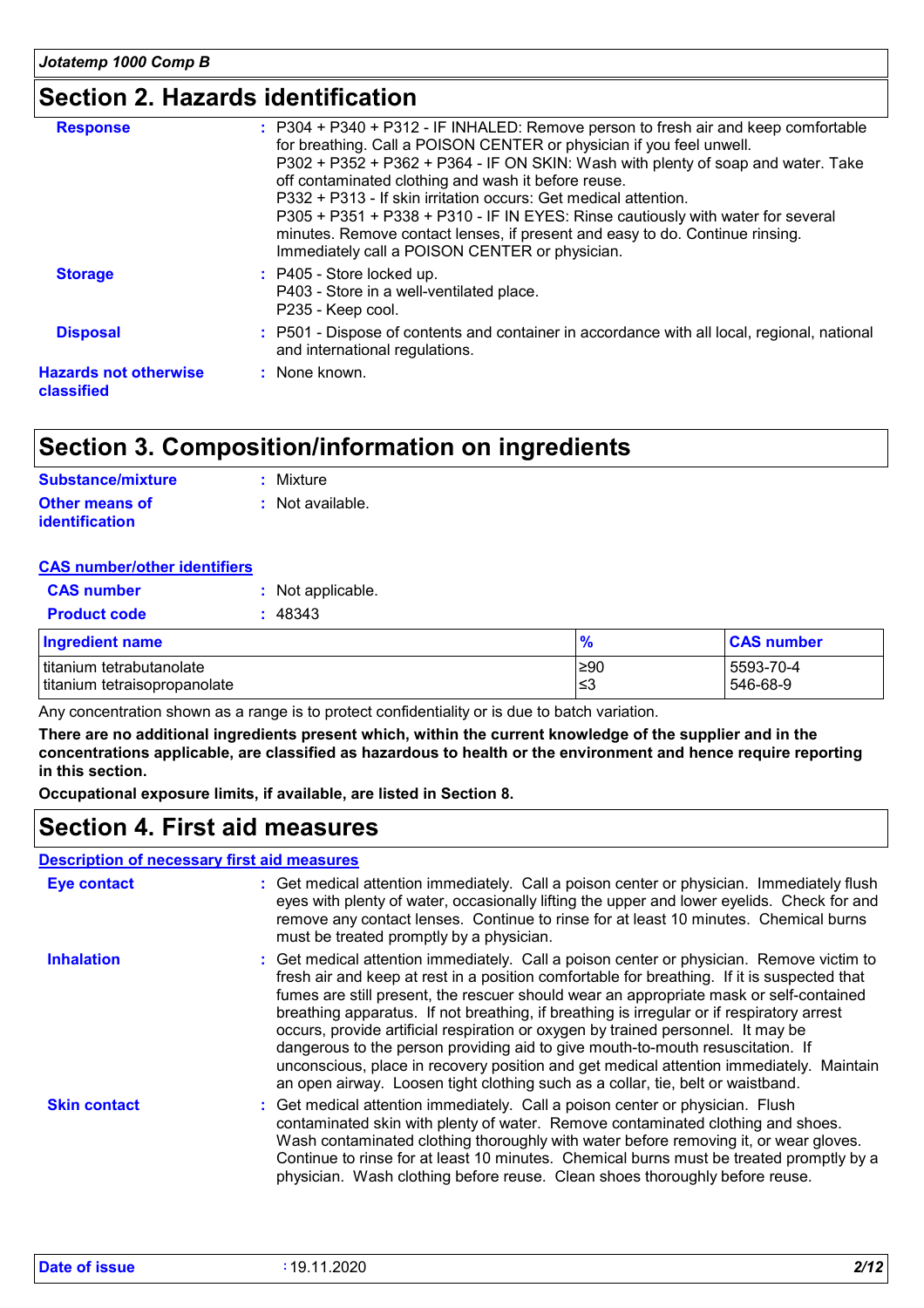### **Section 2. Hazards identification**

| <b>Response</b>                            | : P304 + P340 + P312 - IF INHALED: Remove person to fresh air and keep comfortable<br>for breathing. Call a POISON CENTER or physician if you feel unwell.<br>P302 + P352 + P362 + P364 - IF ON SKIN: Wash with plenty of soap and water. Take<br>off contaminated clothing and wash it before reuse.<br>P332 + P313 - If skin irritation occurs: Get medical attention.<br>P305 + P351 + P338 + P310 - IF IN EYES: Rinse cautiously with water for several<br>minutes. Remove contact lenses, if present and easy to do. Continue rinsing.<br>Immediately call a POISON CENTER or physician. |
|--------------------------------------------|-----------------------------------------------------------------------------------------------------------------------------------------------------------------------------------------------------------------------------------------------------------------------------------------------------------------------------------------------------------------------------------------------------------------------------------------------------------------------------------------------------------------------------------------------------------------------------------------------|
| <b>Storage</b>                             | $:$ P405 - Store locked up.<br>P403 - Store in a well-ventilated place.<br>P235 - Keep cool.                                                                                                                                                                                                                                                                                                                                                                                                                                                                                                  |
| <b>Disposal</b>                            | : P501 - Dispose of contents and container in accordance with all local, regional, national<br>and international regulations.                                                                                                                                                                                                                                                                                                                                                                                                                                                                 |
| <b>Hazards not otherwise</b><br>classified | : None known.                                                                                                                                                                                                                                                                                                                                                                                                                                                                                                                                                                                 |

### **Section 3. Composition/information on ingredients**

| <b>Substance/mixture</b>                       | : Mixture        |
|------------------------------------------------|------------------|
| <b>Other means of</b><br><b>identification</b> | : Not available. |

#### **CAS number/other identifiers**

| <b>CAS number</b>                                        | : Not applicable. |               |                       |
|----------------------------------------------------------|-------------------|---------------|-----------------------|
| <b>Product code</b>                                      | : 48343           |               |                       |
| Ingredient name                                          |                   | $\frac{9}{6}$ | <b>CAS number</b>     |
| titanium tetrabutanolate<br>titanium tetraisopropanolate |                   | ≥90<br>l≤3    | 5593-70-4<br>546-68-9 |

Any concentration shown as a range is to protect confidentiality or is due to batch variation.

**There are no additional ingredients present which, within the current knowledge of the supplier and in the concentrations applicable, are classified as hazardous to health or the environment and hence require reporting in this section.**

**Occupational exposure limits, if available, are listed in Section 8.**

### **Section 4. First aid measures**

#### **Description of necessary first aid measures**

| <b>Eye contact</b>  | : Get medical attention immediately. Call a poison center or physician. Immediately flush<br>eyes with plenty of water, occasionally lifting the upper and lower eyelids. Check for and<br>remove any contact lenses. Continue to rinse for at least 10 minutes. Chemical burns<br>must be treated promptly by a physician.                                                                                                                                                                                                                                                                                                                                                                                                        |
|---------------------|------------------------------------------------------------------------------------------------------------------------------------------------------------------------------------------------------------------------------------------------------------------------------------------------------------------------------------------------------------------------------------------------------------------------------------------------------------------------------------------------------------------------------------------------------------------------------------------------------------------------------------------------------------------------------------------------------------------------------------|
| <b>Inhalation</b>   | : Get medical attention immediately. Call a poison center or physician. Remove victim to<br>fresh air and keep at rest in a position comfortable for breathing. If it is suspected that<br>fumes are still present, the rescuer should wear an appropriate mask or self-contained<br>breathing apparatus. If not breathing, if breathing is irregular or if respiratory arrest<br>occurs, provide artificial respiration or oxygen by trained personnel. It may be<br>dangerous to the person providing aid to give mouth-to-mouth resuscitation. If<br>unconscious, place in recovery position and get medical attention immediately. Maintain<br>an open airway. Loosen tight clothing such as a collar, tie, belt or waistband. |
| <b>Skin contact</b> | : Get medical attention immediately. Call a poison center or physician. Flush<br>contaminated skin with plenty of water. Remove contaminated clothing and shoes.<br>Wash contaminated clothing thoroughly with water before removing it, or wear gloves.<br>Continue to rinse for at least 10 minutes. Chemical burns must be treated promptly by a<br>physician. Wash clothing before reuse. Clean shoes thoroughly before reuse.                                                                                                                                                                                                                                                                                                 |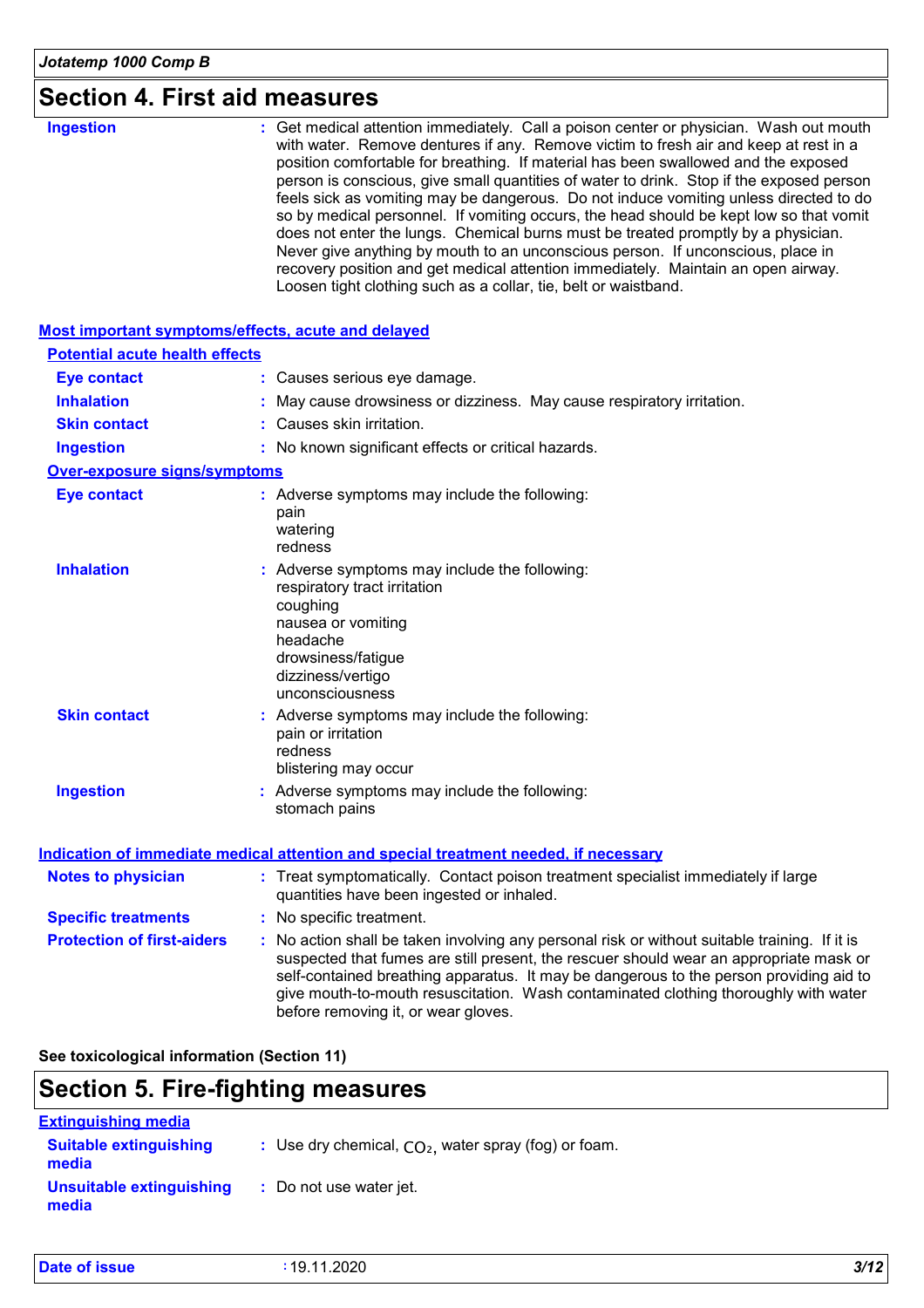| <b>Ingestion</b>                                          | : Get medical attention immediately. Call a poison center or physician. Wash out mouth<br>with water. Remove dentures if any. Remove victim to fresh air and keep at rest in a<br>position comfortable for breathing. If material has been swallowed and the exposed<br>person is conscious, give small quantities of water to drink. Stop if the exposed person<br>feels sick as vomiting may be dangerous. Do not induce vomiting unless directed to do<br>so by medical personnel. If vomiting occurs, the head should be kept low so that vomit<br>does not enter the lungs. Chemical burns must be treated promptly by a physician.<br>Never give anything by mouth to an unconscious person. If unconscious, place in<br>recovery position and get medical attention immediately. Maintain an open airway.<br>Loosen tight clothing such as a collar, tie, belt or waistband. |  |
|-----------------------------------------------------------|-------------------------------------------------------------------------------------------------------------------------------------------------------------------------------------------------------------------------------------------------------------------------------------------------------------------------------------------------------------------------------------------------------------------------------------------------------------------------------------------------------------------------------------------------------------------------------------------------------------------------------------------------------------------------------------------------------------------------------------------------------------------------------------------------------------------------------------------------------------------------------------|--|
| <b>Most important symptoms/effects, acute and delayed</b> |                                                                                                                                                                                                                                                                                                                                                                                                                                                                                                                                                                                                                                                                                                                                                                                                                                                                                     |  |
| <b>Potential acute health effects</b>                     |                                                                                                                                                                                                                                                                                                                                                                                                                                                                                                                                                                                                                                                                                                                                                                                                                                                                                     |  |
| <b>Eye contact</b>                                        | : Causes serious eye damage.                                                                                                                                                                                                                                                                                                                                                                                                                                                                                                                                                                                                                                                                                                                                                                                                                                                        |  |
| <b>Inhalation</b>                                         | May cause drowsiness or dizziness. May cause respiratory irritation.                                                                                                                                                                                                                                                                                                                                                                                                                                                                                                                                                                                                                                                                                                                                                                                                                |  |
| <b>Skin contact</b>                                       | Causes skin irritation.                                                                                                                                                                                                                                                                                                                                                                                                                                                                                                                                                                                                                                                                                                                                                                                                                                                             |  |
| <b>Ingestion</b>                                          | : No known significant effects or critical hazards.                                                                                                                                                                                                                                                                                                                                                                                                                                                                                                                                                                                                                                                                                                                                                                                                                                 |  |
| <b>Over-exposure signs/symptoms</b>                       |                                                                                                                                                                                                                                                                                                                                                                                                                                                                                                                                                                                                                                                                                                                                                                                                                                                                                     |  |
| <b>Eye contact</b>                                        | : Adverse symptoms may include the following:<br>pain<br>watering<br>redness                                                                                                                                                                                                                                                                                                                                                                                                                                                                                                                                                                                                                                                                                                                                                                                                        |  |
| <b>Inhalation</b>                                         | : Adverse symptoms may include the following:<br>respiratory tract irritation<br>coughing<br>nausea or vomiting<br>headache<br>drowsiness/fatigue<br>dizziness/vertigo<br>unconsciousness                                                                                                                                                                                                                                                                                                                                                                                                                                                                                                                                                                                                                                                                                           |  |
| <b>Skin contact</b>                                       | : Adverse symptoms may include the following:<br>pain or irritation<br>redness<br>blistering may occur                                                                                                                                                                                                                                                                                                                                                                                                                                                                                                                                                                                                                                                                                                                                                                              |  |
| <b>Ingestion</b>                                          | : Adverse symptoms may include the following:<br>stomach pains                                                                                                                                                                                                                                                                                                                                                                                                                                                                                                                                                                                                                                                                                                                                                                                                                      |  |
|                                                           | <b>Indication of immediate medical attention and special treatment needed, if necessary</b>                                                                                                                                                                                                                                                                                                                                                                                                                                                                                                                                                                                                                                                                                                                                                                                         |  |
| <b>Notes to physician</b>                                 | : Treat symptomatically. Contact poison treatment specialist immediately if large<br>quantities have been ingested or inhaled.                                                                                                                                                                                                                                                                                                                                                                                                                                                                                                                                                                                                                                                                                                                                                      |  |
| <b>Specific treatments</b>                                | : No specific treatment.                                                                                                                                                                                                                                                                                                                                                                                                                                                                                                                                                                                                                                                                                                                                                                                                                                                            |  |
| <b>Protection of first-aiders</b>                         | : No action shall be taken involving any personal risk or without suitable training. If it is<br>suspected that fumes are still present, the rescuer should wear an appropriate mask or<br>self-contained breathing apparatus. It may be dangerous to the person providing aid to<br>give mouth-to-mouth resuscitation. Wash contaminated clothing thoroughly with water<br>before removing it, or wear gloves.                                                                                                                                                                                                                                                                                                                                                                                                                                                                     |  |
|                                                           |                                                                                                                                                                                                                                                                                                                                                                                                                                                                                                                                                                                                                                                                                                                                                                                                                                                                                     |  |

**See toxicological information (Section 11)**

### **Section 5. Fire-fighting measures**

| <b>Extinguishing media</b>             |                                                        |
|----------------------------------------|--------------------------------------------------------|
| <b>Suitable extinguishing</b><br>media | : Use dry chemical, $CO2$ , water spray (fog) or foam. |
| Unsuitable extinguishing<br>media      | : Do not use water jet.                                |

| Date of issue | 19.11.2020 | 3/12 |
|---------------|------------|------|
|---------------|------------|------|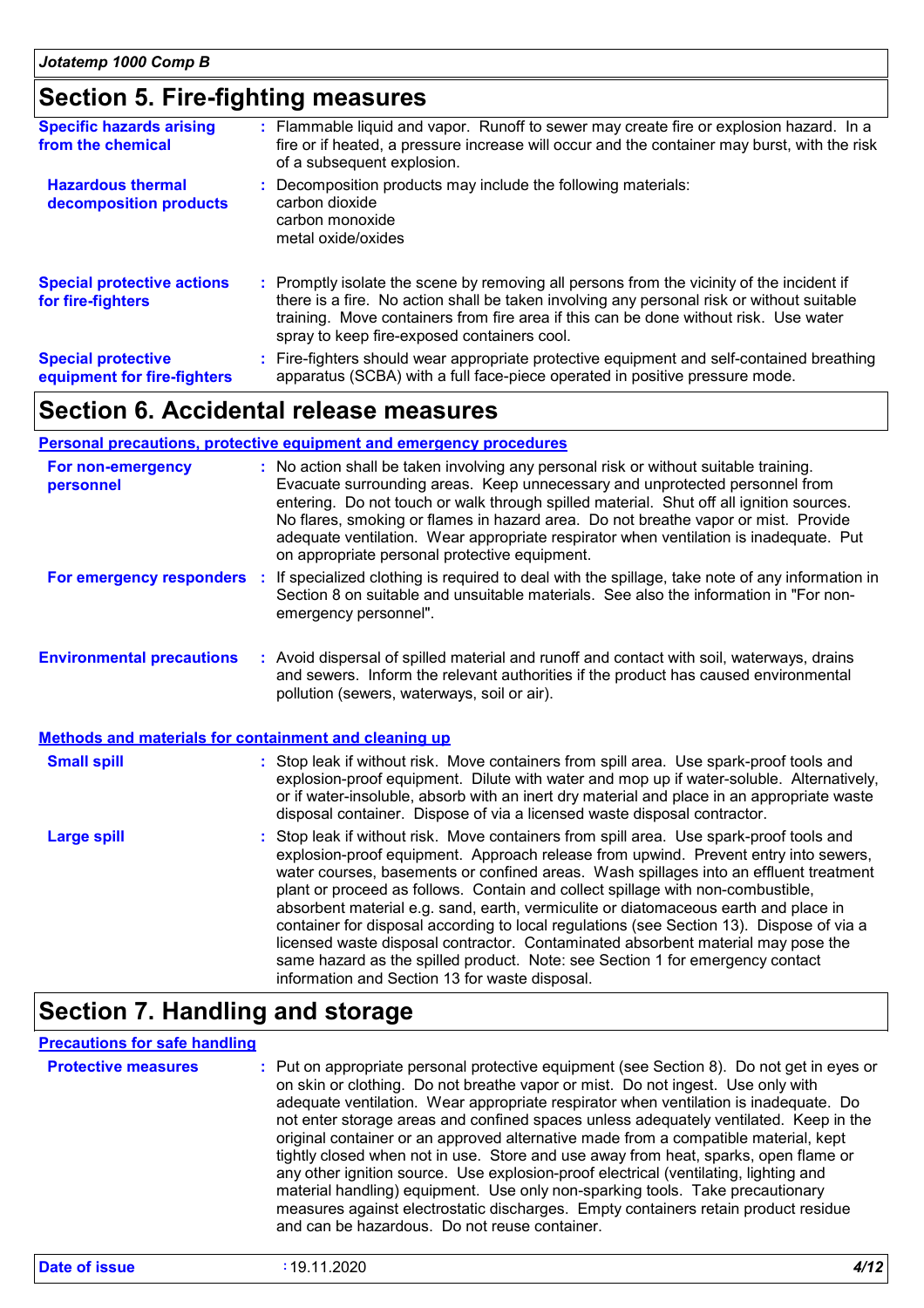### **Section 5. Fire-fighting measures**

| <b>Specific hazards arising</b><br>from the chemical     | : Flammable liquid and vapor. Runoff to sewer may create fire or explosion hazard. In a<br>fire or if heated, a pressure increase will occur and the container may burst, with the risk<br>of a subsequent explosion.                                                                                                         |
|----------------------------------------------------------|-------------------------------------------------------------------------------------------------------------------------------------------------------------------------------------------------------------------------------------------------------------------------------------------------------------------------------|
| <b>Hazardous thermal</b><br>decomposition products       | Decomposition products may include the following materials:<br>carbon dioxide<br>carbon monoxide<br>metal oxide/oxides                                                                                                                                                                                                        |
| <b>Special protective actions</b><br>for fire-fighters   | : Promptly isolate the scene by removing all persons from the vicinity of the incident if<br>there is a fire. No action shall be taken involving any personal risk or without suitable<br>training. Move containers from fire area if this can be done without risk. Use water<br>spray to keep fire-exposed containers cool. |
| <b>Special protective</b><br>equipment for fire-fighters | : Fire-fighters should wear appropriate protective equipment and self-contained breathing<br>apparatus (SCBA) with a full face-piece operated in positive pressure mode.                                                                                                                                                      |

### **Section 6. Accidental release measures**

#### **Personal precautions, protective equipment and emergency procedures**

| For non-emergency<br>personnel                               | : No action shall be taken involving any personal risk or without suitable training.<br>Evacuate surrounding areas. Keep unnecessary and unprotected personnel from<br>entering. Do not touch or walk through spilled material. Shut off all ignition sources.<br>No flares, smoking or flames in hazard area. Do not breathe vapor or mist. Provide<br>adequate ventilation. Wear appropriate respirator when ventilation is inadequate. Put<br>on appropriate personal protective equipment.                                                                                                                                                                                                                                                                       |
|--------------------------------------------------------------|----------------------------------------------------------------------------------------------------------------------------------------------------------------------------------------------------------------------------------------------------------------------------------------------------------------------------------------------------------------------------------------------------------------------------------------------------------------------------------------------------------------------------------------------------------------------------------------------------------------------------------------------------------------------------------------------------------------------------------------------------------------------|
| For emergency responders                                     | If specialized clothing is required to deal with the spillage, take note of any information in<br>÷.<br>Section 8 on suitable and unsuitable materials. See also the information in "For non-<br>emergency personnel".                                                                                                                                                                                                                                                                                                                                                                                                                                                                                                                                               |
| <b>Environmental precautions</b>                             | : Avoid dispersal of spilled material and runoff and contact with soil, waterways, drains<br>and sewers. Inform the relevant authorities if the product has caused environmental<br>pollution (sewers, waterways, soil or air).                                                                                                                                                                                                                                                                                                                                                                                                                                                                                                                                      |
| <b>Methods and materials for containment and cleaning up</b> |                                                                                                                                                                                                                                                                                                                                                                                                                                                                                                                                                                                                                                                                                                                                                                      |
| <b>Small spill</b>                                           | : Stop leak if without risk. Move containers from spill area. Use spark-proof tools and<br>explosion-proof equipment. Dilute with water and mop up if water-soluble. Alternatively,<br>or if water-insoluble, absorb with an inert dry material and place in an appropriate waste<br>disposal container. Dispose of via a licensed waste disposal contractor.                                                                                                                                                                                                                                                                                                                                                                                                        |
| <b>Large spill</b>                                           | : Stop leak if without risk. Move containers from spill area. Use spark-proof tools and<br>explosion-proof equipment. Approach release from upwind. Prevent entry into sewers,<br>water courses, basements or confined areas. Wash spillages into an effluent treatment<br>plant or proceed as follows. Contain and collect spillage with non-combustible,<br>absorbent material e.g. sand, earth, vermiculite or diatomaceous earth and place in<br>container for disposal according to local regulations (see Section 13). Dispose of via a<br>licensed waste disposal contractor. Contaminated absorbent material may pose the<br>same hazard as the spilled product. Note: see Section 1 for emergency contact<br>information and Section 13 for waste disposal. |

### **Section 7. Handling and storage**

#### **Precautions for safe handling**

| <b>Protective measures</b> | : Put on appropriate personal protective equipment (see Section 8). Do not get in eyes or<br>on skin or clothing. Do not breathe vapor or mist. Do not ingest. Use only with<br>adequate ventilation. Wear appropriate respirator when ventilation is inadequate. Do<br>not enter storage areas and confined spaces unless adequately ventilated. Keep in the<br>original container or an approved alternative made from a compatible material, kept<br>tightly closed when not in use. Store and use away from heat, sparks, open flame or<br>any other ignition source. Use explosion-proof electrical (ventilating, lighting and<br>material handling) equipment. Use only non-sparking tools. Take precautionary |
|----------------------------|----------------------------------------------------------------------------------------------------------------------------------------------------------------------------------------------------------------------------------------------------------------------------------------------------------------------------------------------------------------------------------------------------------------------------------------------------------------------------------------------------------------------------------------------------------------------------------------------------------------------------------------------------------------------------------------------------------------------|
|                            | measures against electrostatic discharges. Empty containers retain product residue<br>and can be hazardous. Do not reuse container.                                                                                                                                                                                                                                                                                                                                                                                                                                                                                                                                                                                  |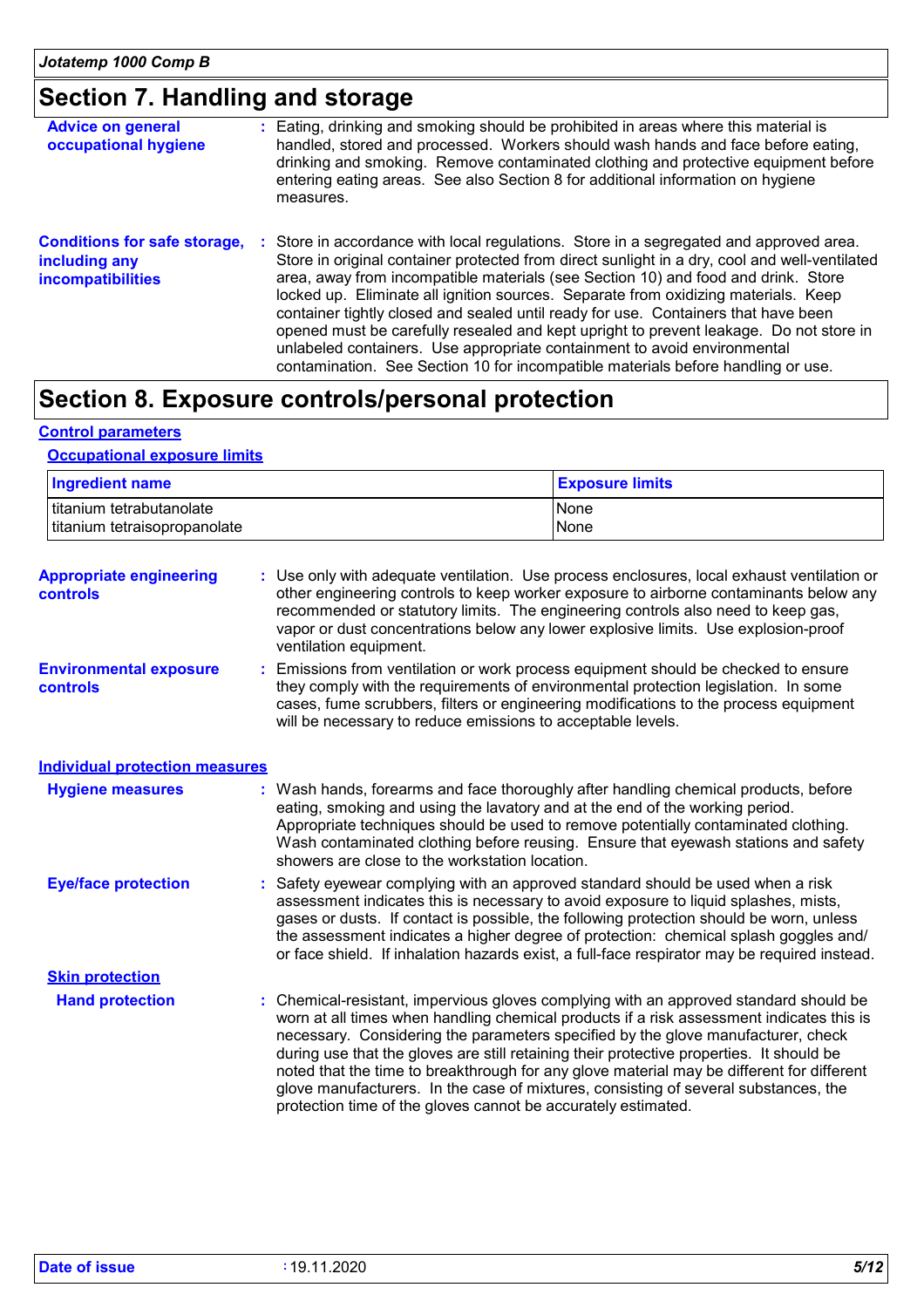### **Section 7. Handling and storage**

| <b>Advice on general</b><br>occupational hygiene                                 |  | : Eating, drinking and smoking should be prohibited in areas where this material is<br>handled, stored and processed. Workers should wash hands and face before eating,<br>drinking and smoking. Remove contaminated clothing and protective equipment before<br>entering eating areas. See also Section 8 for additional information on hygiene<br>measures.                                                                                                                                                                                                                                                                                                                                                          |
|----------------------------------------------------------------------------------|--|------------------------------------------------------------------------------------------------------------------------------------------------------------------------------------------------------------------------------------------------------------------------------------------------------------------------------------------------------------------------------------------------------------------------------------------------------------------------------------------------------------------------------------------------------------------------------------------------------------------------------------------------------------------------------------------------------------------------|
| <b>Conditions for safe storage,</b><br>including any<br><i>incompatibilities</i> |  | Store in accordance with local regulations. Store in a segregated and approved area.<br>÷.<br>Store in original container protected from direct sunlight in a dry, cool and well-ventilated<br>area, away from incompatible materials (see Section 10) and food and drink. Store<br>locked up. Eliminate all ignition sources. Separate from oxidizing materials. Keep<br>container tightly closed and sealed until ready for use. Containers that have been<br>opened must be carefully resealed and kept upright to prevent leakage. Do not store in<br>unlabeled containers. Use appropriate containment to avoid environmental<br>contamination. See Section 10 for incompatible materials before handling or use. |

### **Section 8. Exposure controls/personal protection**

#### **Control parameters**

#### **Occupational exposure limits**

| <b>Ingredient name</b>                                   |  |                                                                                                                                | <b>Exposure limits</b>                                                                                                                                                                                                                                                                                                                                                                                                                                                                                                                              |  |
|----------------------------------------------------------|--|--------------------------------------------------------------------------------------------------------------------------------|-----------------------------------------------------------------------------------------------------------------------------------------------------------------------------------------------------------------------------------------------------------------------------------------------------------------------------------------------------------------------------------------------------------------------------------------------------------------------------------------------------------------------------------------------------|--|
| titanium tetrabutanolate<br>titanium tetraisopropanolate |  |                                                                                                                                | None<br>None                                                                                                                                                                                                                                                                                                                                                                                                                                                                                                                                        |  |
| <b>Appropriate engineering</b><br>controls               |  | ventilation equipment.                                                                                                         | : Use only with adequate ventilation. Use process enclosures, local exhaust ventilation or<br>other engineering controls to keep worker exposure to airborne contaminants below any<br>recommended or statutory limits. The engineering controls also need to keep gas,<br>vapor or dust concentrations below any lower explosive limits. Use explosion-proof                                                                                                                                                                                       |  |
| <b>Environmental exposure</b><br><b>controls</b>         |  | will be necessary to reduce emissions to acceptable levels.                                                                    | Emissions from ventilation or work process equipment should be checked to ensure<br>they comply with the requirements of environmental protection legislation. In some<br>cases, fume scrubbers, filters or engineering modifications to the process equipment                                                                                                                                                                                                                                                                                      |  |
| <b>Individual protection measures</b>                    |  |                                                                                                                                |                                                                                                                                                                                                                                                                                                                                                                                                                                                                                                                                                     |  |
| <b>Hygiene measures</b>                                  |  | eating, smoking and using the lavatory and at the end of the working period.<br>showers are close to the workstation location. | : Wash hands, forearms and face thoroughly after handling chemical products, before<br>Appropriate techniques should be used to remove potentially contaminated clothing.<br>Wash contaminated clothing before reusing. Ensure that eyewash stations and safety                                                                                                                                                                                                                                                                                     |  |
| <b>Eye/face protection</b>                               |  |                                                                                                                                | : Safety eyewear complying with an approved standard should be used when a risk<br>assessment indicates this is necessary to avoid exposure to liquid splashes, mists,<br>gases or dusts. If contact is possible, the following protection should be worn, unless<br>the assessment indicates a higher degree of protection: chemical splash goggles and/<br>or face shield. If inhalation hazards exist, a full-face respirator may be required instead.                                                                                           |  |
| <b>Skin protection</b>                                   |  |                                                                                                                                |                                                                                                                                                                                                                                                                                                                                                                                                                                                                                                                                                     |  |
| <b>Hand protection</b>                                   |  | protection time of the gloves cannot be accurately estimated.                                                                  | Chemical-resistant, impervious gloves complying with an approved standard should be<br>worn at all times when handling chemical products if a risk assessment indicates this is<br>necessary. Considering the parameters specified by the glove manufacturer, check<br>during use that the gloves are still retaining their protective properties. It should be<br>noted that the time to breakthrough for any glove material may be different for different<br>glove manufacturers. In the case of mixtures, consisting of several substances, the |  |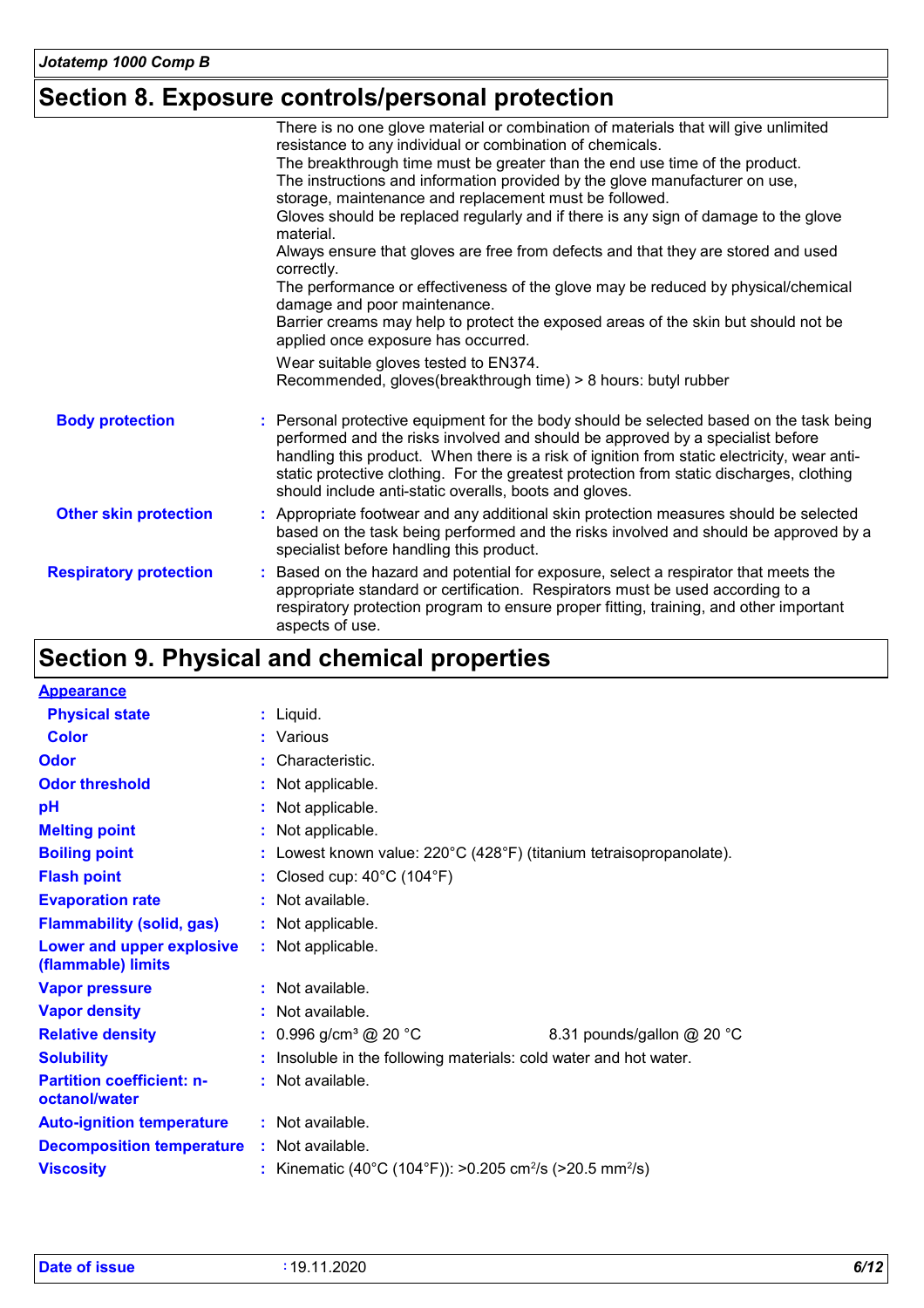### **Section 8. Exposure controls/personal protection**

|                               | There is no one glove material or combination of materials that will give unlimited<br>resistance to any individual or combination of chemicals.                                                                                                                                                                                                                                                                               |
|-------------------------------|--------------------------------------------------------------------------------------------------------------------------------------------------------------------------------------------------------------------------------------------------------------------------------------------------------------------------------------------------------------------------------------------------------------------------------|
|                               | The breakthrough time must be greater than the end use time of the product.                                                                                                                                                                                                                                                                                                                                                    |
|                               | The instructions and information provided by the glove manufacturer on use,<br>storage, maintenance and replacement must be followed.                                                                                                                                                                                                                                                                                          |
|                               | Gloves should be replaced regularly and if there is any sign of damage to the glove<br>material.                                                                                                                                                                                                                                                                                                                               |
|                               | Always ensure that gloves are free from defects and that they are stored and used<br>correctly.                                                                                                                                                                                                                                                                                                                                |
|                               | The performance or effectiveness of the glove may be reduced by physical/chemical<br>damage and poor maintenance.                                                                                                                                                                                                                                                                                                              |
|                               | Barrier creams may help to protect the exposed areas of the skin but should not be<br>applied once exposure has occurred.                                                                                                                                                                                                                                                                                                      |
|                               | Wear suitable gloves tested to EN374.<br>Recommended, gloves(breakthrough time) > 8 hours: butyl rubber                                                                                                                                                                                                                                                                                                                        |
|                               |                                                                                                                                                                                                                                                                                                                                                                                                                                |
| <b>Body protection</b>        | : Personal protective equipment for the body should be selected based on the task being<br>performed and the risks involved and should be approved by a specialist before<br>handling this product. When there is a risk of ignition from static electricity, wear anti-<br>static protective clothing. For the greatest protection from static discharges, clothing<br>should include anti-static overalls, boots and gloves. |
| <b>Other skin protection</b>  | : Appropriate footwear and any additional skin protection measures should be selected<br>based on the task being performed and the risks involved and should be approved by a<br>specialist before handling this product.                                                                                                                                                                                                      |
| <b>Respiratory protection</b> | Based on the hazard and potential for exposure, select a respirator that meets the<br>appropriate standard or certification. Respirators must be used according to a<br>respiratory protection program to ensure proper fitting, training, and other important<br>aspects of use.                                                                                                                                              |

### **Section 9. Physical and chemical properties**

| <b>Appearance</b>                                 |    |                                                                                          |                            |  |
|---------------------------------------------------|----|------------------------------------------------------------------------------------------|----------------------------|--|
| <b>Physical state</b>                             |    | $:$ Liquid.                                                                              |                            |  |
| <b>Color</b>                                      |    | : Various                                                                                |                            |  |
| <b>Odor</b>                                       | ÷. | Characteristic.                                                                          |                            |  |
| <b>Odor threshold</b>                             |    | : Not applicable.                                                                        |                            |  |
| pH                                                |    | Not applicable.                                                                          |                            |  |
| <b>Melting point</b>                              |    | : Not applicable.                                                                        |                            |  |
| <b>Boiling point</b>                              |    | : Lowest known value: $220^{\circ}$ C (428 $^{\circ}$ F) (titanium tetraisopropanolate). |                            |  |
| <b>Flash point</b>                                |    | : Closed cup: $40^{\circ}$ C (104 $^{\circ}$ F)                                          |                            |  |
| <b>Evaporation rate</b>                           |    | : Not available.                                                                         |                            |  |
| <b>Flammability (solid, gas)</b>                  |    | : Not applicable.                                                                        |                            |  |
| Lower and upper explosive<br>(flammable) limits   |    | : Not applicable.                                                                        |                            |  |
| <b>Vapor pressure</b>                             |    | : Not available.                                                                         |                            |  |
| <b>Vapor density</b>                              |    | : Not available.                                                                         |                            |  |
| <b>Relative density</b>                           |    | : $0.996$ g/cm <sup>3</sup> @ 20 °C                                                      | 8.31 pounds/gallon @ 20 °C |  |
| <b>Solubility</b>                                 |    | : Insoluble in the following materials: cold water and hot water.                        |                            |  |
| <b>Partition coefficient: n-</b><br>octanol/water |    | : Not available.                                                                         |                            |  |
| <b>Auto-ignition temperature</b>                  |    | : Not available.                                                                         |                            |  |
| <b>Decomposition temperature</b>                  |    | : Not available.                                                                         |                            |  |
| <b>Viscosity</b>                                  |    | : Kinematic (40°C (104°F)): >0.205 cm <sup>2</sup> /s (>20.5 mm <sup>2</sup> /s)         |                            |  |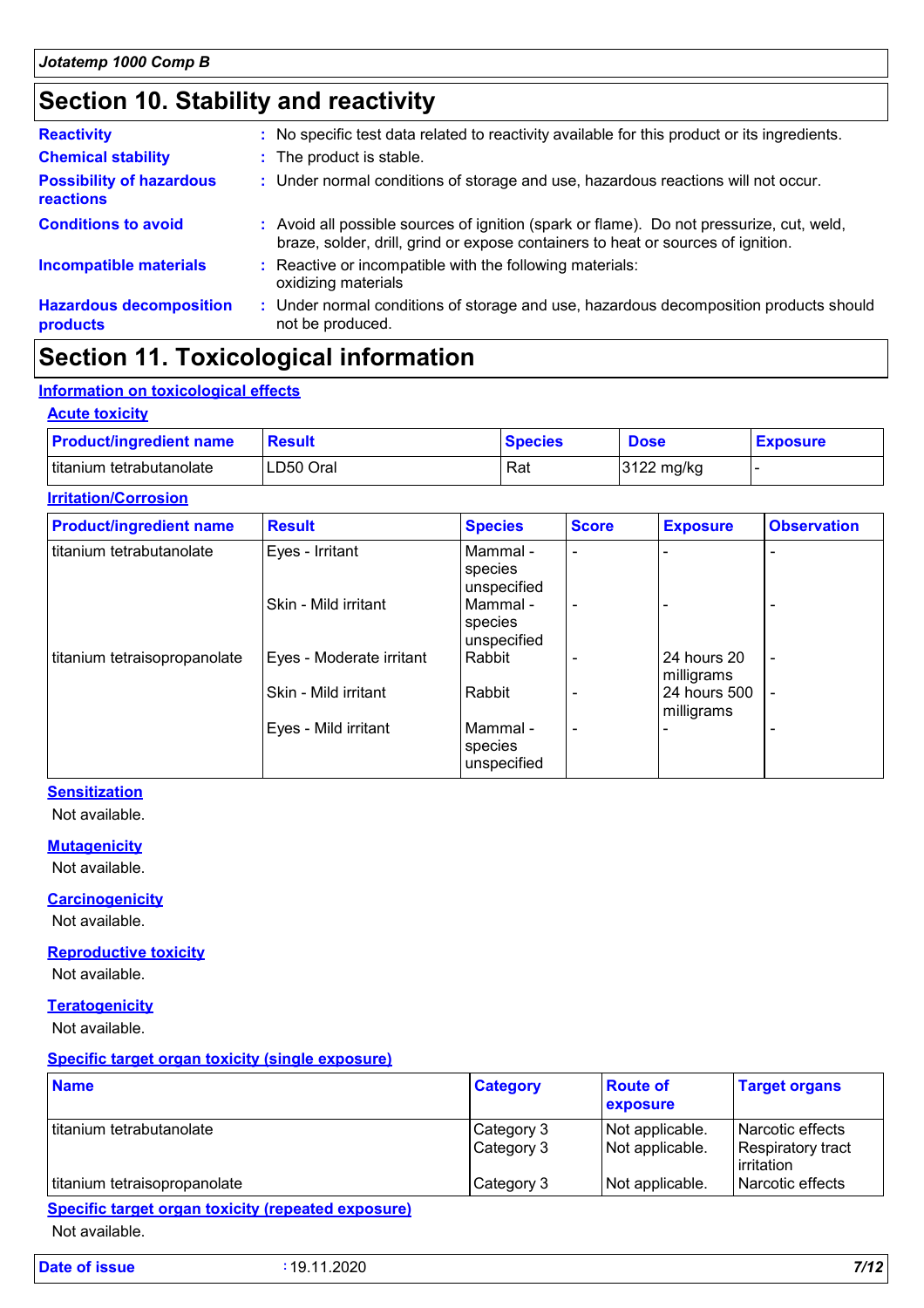### **Section 10. Stability and reactivity**

| <b>Reactivity</b>                                   | : No specific test data related to reactivity available for this product or its ingredients.                                                                                 |
|-----------------------------------------------------|------------------------------------------------------------------------------------------------------------------------------------------------------------------------------|
| <b>Chemical stability</b>                           | : The product is stable.                                                                                                                                                     |
| <b>Possibility of hazardous</b><br><b>reactions</b> | : Under normal conditions of storage and use, hazardous reactions will not occur.                                                                                            |
| <b>Conditions to avoid</b>                          | : Avoid all possible sources of ignition (spark or flame). Do not pressurize, cut, weld,<br>braze, solder, drill, grind or expose containers to heat or sources of ignition. |
| <b>Incompatible materials</b>                       | : Reactive or incompatible with the following materials:<br>oxidizing materials                                                                                              |
| <b>Hazardous decomposition</b><br>products          | : Under normal conditions of storage and use, hazardous decomposition products should<br>not be produced.                                                                    |

### **Section 11. Toxicological information**

#### **Information on toxicological effects**

#### **Acute toxicity**

| <b>Product/ingredient name</b> | <b>Result</b> | <b>Species</b> | <b>Dose</b> | <b>Exposure</b> |
|--------------------------------|---------------|----------------|-------------|-----------------|
| titanium tetrabutanolate       | LD50 Oral     | Rat            | 3122 mg/kg  |                 |

#### **Irritation/Corrosion**

| <b>Product/ingredient name</b> | <b>Result</b>            | <b>Species</b>                     | <b>Score</b>   | <b>Exposure</b>            | <b>Observation</b>       |
|--------------------------------|--------------------------|------------------------------------|----------------|----------------------------|--------------------------|
| titanium tetrabutanolate       | Eyes - Irritant          | Mammal -<br>species<br>unspecified |                |                            |                          |
|                                | Skin - Mild irritant     | Mammal -<br>species<br>unspecified | $\blacksquare$ |                            | $\overline{\phantom{0}}$ |
| titanium tetraisopropanolate   | Eyes - Moderate irritant | Rabbit                             |                | 24 hours 20<br>milligrams  | $\overline{\phantom{a}}$ |
|                                | Skin - Mild irritant     | Rabbit                             |                | 24 hours 500<br>milligrams | $\overline{\phantom{a}}$ |
|                                | Eyes - Mild irritant     | Mammal -<br>species<br>unspecified |                |                            |                          |

#### **Sensitization**

Not available.

#### **Mutagenicity**

Not available.

#### **Carcinogenicity**

Not available.

#### **Reproductive toxicity** Not available.

#### **Teratogenicity**

Not available.

#### **Specific target organ toxicity (single exposure)**

| <b>Name</b>                  | <b>Category</b>          | <b>Route of</b><br>exposure        | <b>Target organs</b>                                           |
|------------------------------|--------------------------|------------------------------------|----------------------------------------------------------------|
| titanium tetrabutanolate     | Category 3<br>Category 3 | Not applicable.<br>Not applicable. | l Narcotic effects<br>Respiratory tract<br><b>l</b> irritation |
| titanium tetraisopropanolate | Category 3               | Not applicable.                    | l Narcotic effects                                             |

Not available.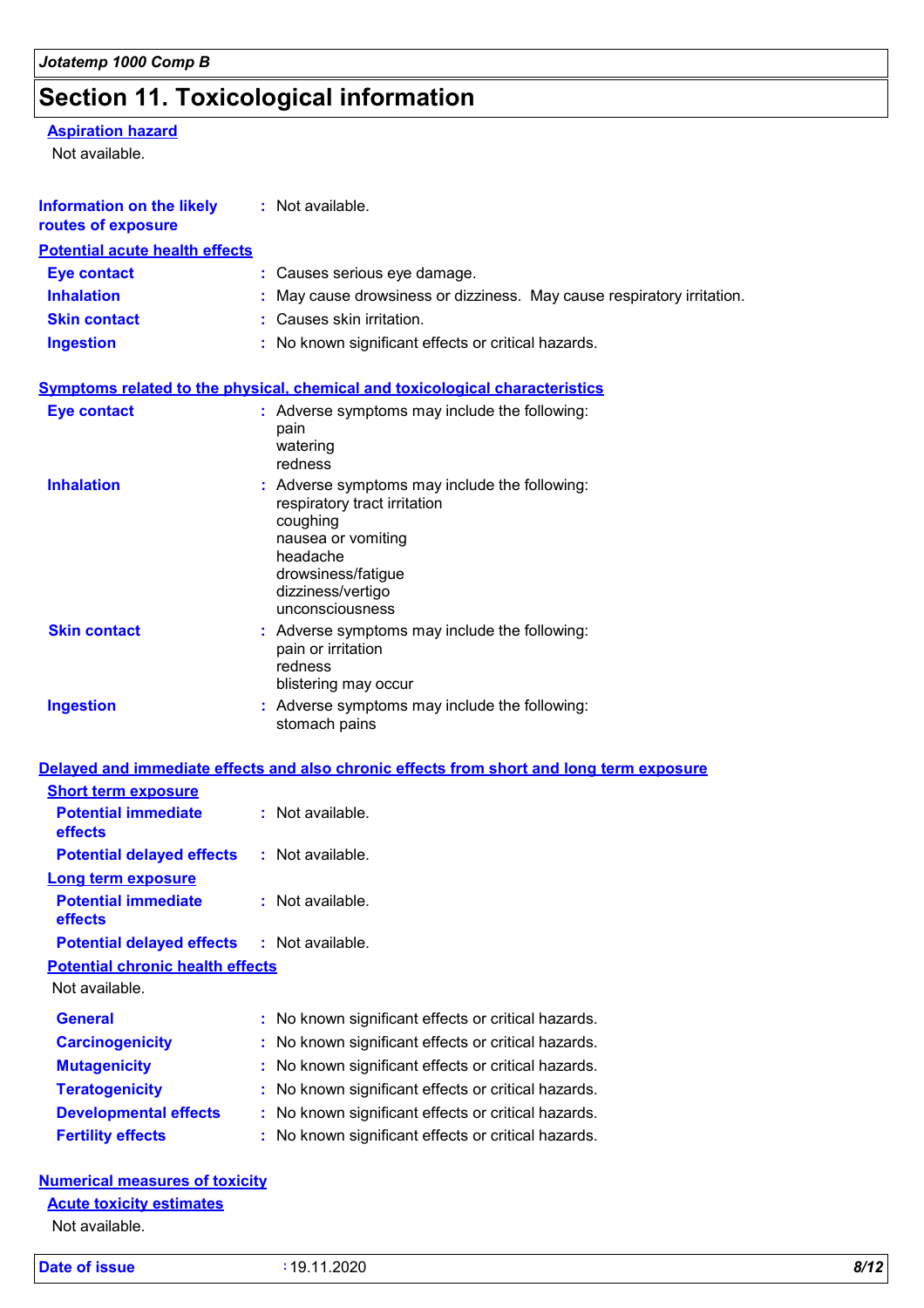## **Section 11. Toxicological information**

### **Aspiration hazard**

Not available.

| <b>Information on the likely</b><br>routes of exposure      | : Not available.                                                                                                                                                                          |
|-------------------------------------------------------------|-------------------------------------------------------------------------------------------------------------------------------------------------------------------------------------------|
| <b>Potential acute health effects</b>                       |                                                                                                                                                                                           |
| <b>Eye contact</b>                                          | : Causes serious eye damage.                                                                                                                                                              |
| <b>Inhalation</b>                                           | May cause drowsiness or dizziness. May cause respiratory irritation.                                                                                                                      |
| <b>Skin contact</b>                                         | : Causes skin irritation.                                                                                                                                                                 |
| <b>Ingestion</b>                                            | : No known significant effects or critical hazards.                                                                                                                                       |
|                                                             | Symptoms related to the physical, chemical and toxicological characteristics                                                                                                              |
| <b>Eye contact</b>                                          | : Adverse symptoms may include the following:<br>pain<br>watering<br>redness                                                                                                              |
| <b>Inhalation</b>                                           | : Adverse symptoms may include the following:<br>respiratory tract irritation<br>coughing<br>nausea or vomiting<br>headache<br>drowsiness/fatigue<br>dizziness/vertigo<br>unconsciousness |
| <b>Skin contact</b>                                         | : Adverse symptoms may include the following:<br>pain or irritation<br>redness<br>blistering may occur                                                                                    |
| <b>Ingestion</b>                                            | : Adverse symptoms may include the following:<br>stomach pains                                                                                                                            |
|                                                             | Delayed and immediate effects and also chronic effects from short and long term exposure                                                                                                  |
| <b>Short term exposure</b>                                  |                                                                                                                                                                                           |
| <b>Potential immediate</b><br>effects                       | : Not available.                                                                                                                                                                          |
| <b>Potential delayed effects</b>                            | : Not available.                                                                                                                                                                          |
| Long term exposure<br><b>Potential immediate</b><br>effects | : Not available.                                                                                                                                                                          |
| <b>Potential delayed effects</b>                            | : Not available.                                                                                                                                                                          |
| <b>Potential chronic health effects</b>                     |                                                                                                                                                                                           |
| Not available.                                              |                                                                                                                                                                                           |
| <b>General</b>                                              | : No known significant effects or critical hazards.                                                                                                                                       |
| <b>Carcinogenicity</b>                                      | No known significant effects or critical hazards.                                                                                                                                         |
| <b>Mutagenicity</b>                                         | No known significant effects or critical hazards.                                                                                                                                         |
| <b>Teratogenicity</b>                                       | No known significant effects or critical hazards.                                                                                                                                         |
| <b>Developmental effects</b>                                | No known significant effects or critical hazards.                                                                                                                                         |
| <b>Fertility effects</b>                                    | No known significant effects or critical hazards.                                                                                                                                         |
| <b>Numerical measures of toxicity</b>                       |                                                                                                                                                                                           |

**Acute toxicity estimates**

Not available.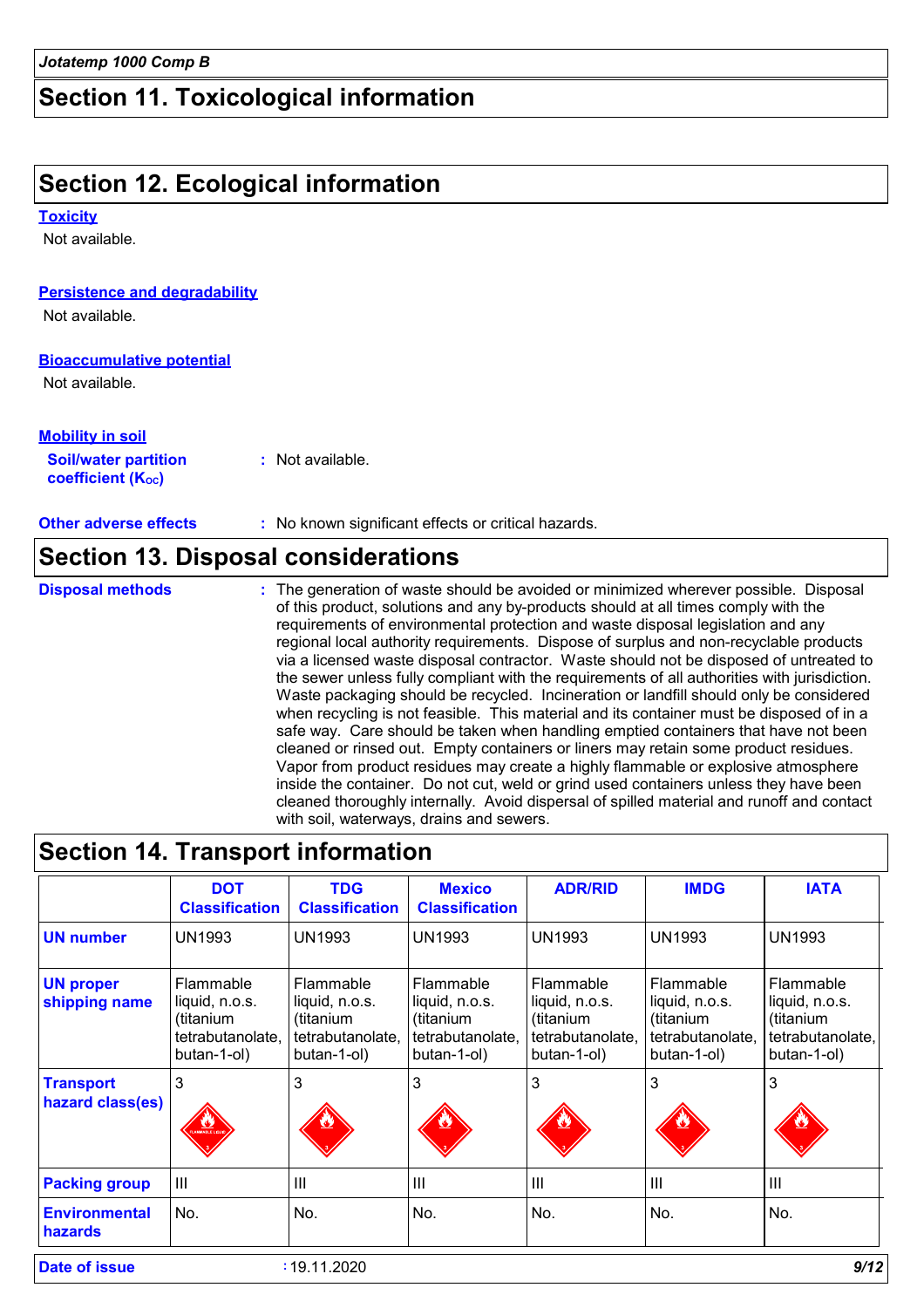### **Section 11. Toxicological information**

### **Section 12. Ecological information**

#### **Toxicity**

Not available.

#### **Persistence and degradability**

Not available.

#### **Bioaccumulative potential**

Not available.

#### **Mobility in soil**

| <b>Soil/water partition</b>    | : Not available. |  |
|--------------------------------|------------------|--|
| coefficient (K <sub>oc</sub> ) |                  |  |

**Other adverse effects :** No known significant effects or critical hazards.

### **Section 13. Disposal considerations**

**Disposal methods :**

The generation of waste should be avoided or minimized wherever possible. Disposal of this product, solutions and any by-products should at all times comply with the requirements of environmental protection and waste disposal legislation and any regional local authority requirements. Dispose of surplus and non-recyclable products via a licensed waste disposal contractor. Waste should not be disposed of untreated to the sewer unless fully compliant with the requirements of all authorities with jurisdiction. Waste packaging should be recycled. Incineration or landfill should only be considered when recycling is not feasible. This material and its container must be disposed of in a safe way. Care should be taken when handling emptied containers that have not been cleaned or rinsed out. Empty containers or liners may retain some product residues. Vapor from product residues may create a highly flammable or explosive atmosphere inside the container. Do not cut, weld or grind used containers unless they have been cleaned thoroughly internally. Avoid dispersal of spilled material and runoff and contact with soil, waterways, drains and sewers.

|                                                       | <b>DOT</b><br><b>Classification</b>                                         | <b>TDG</b><br><b>Classification</b>                                         | <b>Mexico</b><br><b>Classification</b>                                      | <b>ADR/RID</b>                                                              | <b>IMDG</b>                                                                 | <b>IATA</b>                                                                 |  |
|-------------------------------------------------------|-----------------------------------------------------------------------------|-----------------------------------------------------------------------------|-----------------------------------------------------------------------------|-----------------------------------------------------------------------------|-----------------------------------------------------------------------------|-----------------------------------------------------------------------------|--|
| <b>UN number</b>                                      | UN1993                                                                      | <b>UN1993</b>                                                               | <b>UN1993</b>                                                               | <b>UN1993</b>                                                               | <b>UN1993</b>                                                               | <b>UN1993</b>                                                               |  |
| <b>UN proper</b><br>shipping name                     | Flammable<br>liquid, n.o.s.<br>(titanium<br>tetrabutanolate,<br>butan-1-ol) | Flammable<br>liquid, n.o.s.<br>(titanium<br>tetrabutanolate.<br>butan-1-ol) | Flammable<br>liquid, n.o.s.<br>(titanium<br>tetrabutanolate.<br>butan-1-ol) | Flammable<br>liquid, n.o.s.<br>(titanium<br>tetrabutanolate.<br>butan-1-ol) | Flammable<br>liquid, n.o.s.<br>(titanium<br>tetrabutanolate,<br>butan-1-ol) | Flammable<br>liquid, n.o.s.<br>(titanium<br>tetrabutanolate,<br>butan-1-ol) |  |
| 3<br><b>Transport</b><br>hazard class(es)<br>MBLE LIC |                                                                             | 3                                                                           | 3                                                                           | 3                                                                           | 3                                                                           | 3                                                                           |  |
| <b>Packing group</b>                                  | III                                                                         | III                                                                         | $\mathbf{III}$                                                              | $\mathbf{III}$                                                              | III                                                                         | $\mathbf{III}$                                                              |  |
| <b>Environmental</b><br>hazards                       | No.                                                                         | No.                                                                         | No.                                                                         | No.                                                                         | No.                                                                         | No.                                                                         |  |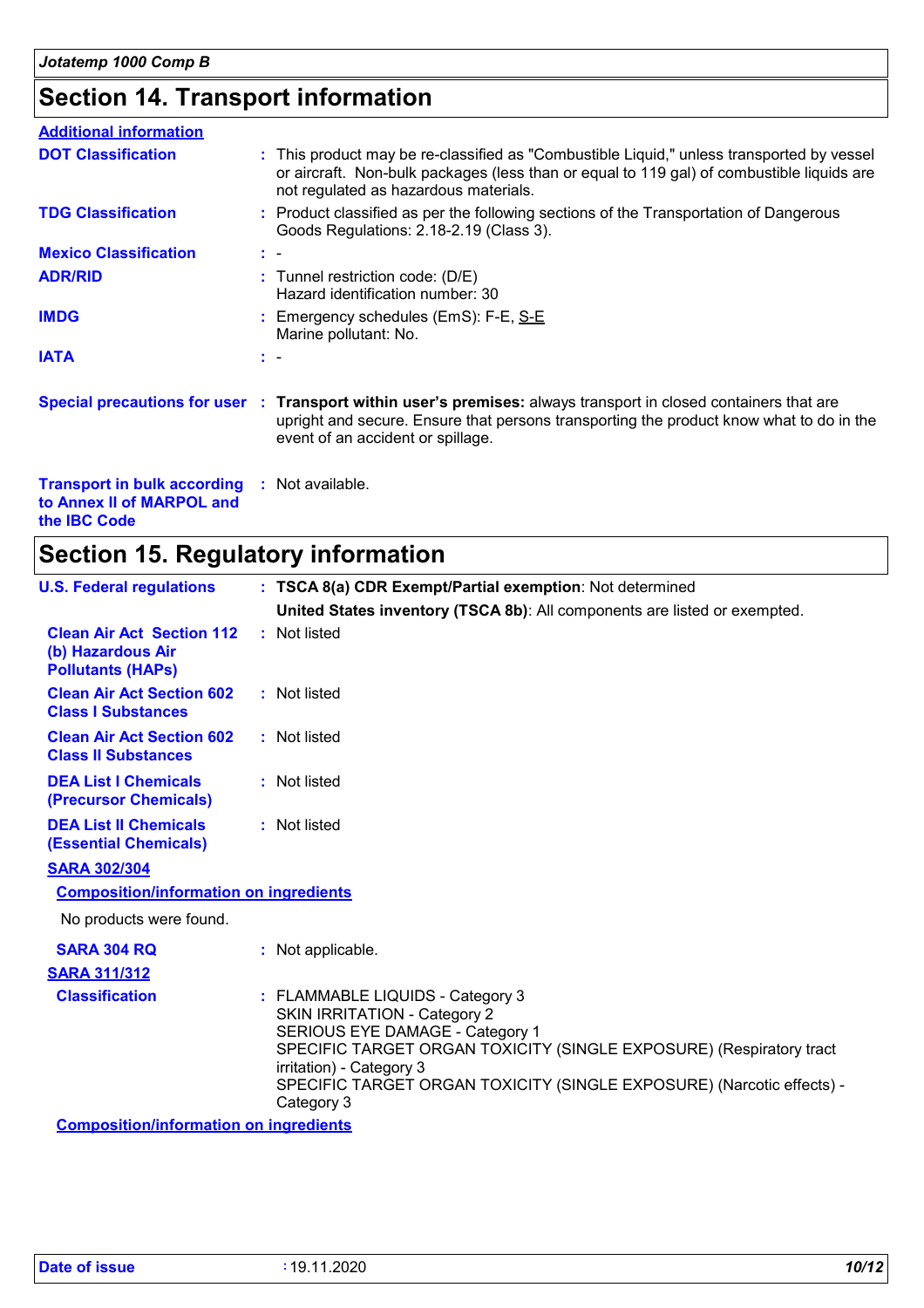### **Section 14. Transport information**

| <b>Additional information</b>                                                                           |     |                                                                                                                                                                                                                                                 |
|---------------------------------------------------------------------------------------------------------|-----|-------------------------------------------------------------------------------------------------------------------------------------------------------------------------------------------------------------------------------------------------|
| <b>DOT Classification</b>                                                                               |     | : This product may be re-classified as "Combustible Liquid," unless transported by vessel<br>or aircraft. Non-bulk packages (less than or equal to 119 gal) of combustible liquids are<br>not regulated as hazardous materials.                 |
| <b>TDG Classification</b>                                                                               |     | : Product classified as per the following sections of the Transportation of Dangerous<br>Goods Regulations: 2.18-2.19 (Class 3).                                                                                                                |
| <b>Mexico Classification</b>                                                                            | t - |                                                                                                                                                                                                                                                 |
| <b>ADR/RID</b>                                                                                          |     | : Tunnel restriction code: (D/E)<br>Hazard identification number: 30                                                                                                                                                                            |
| <b>IMDG</b>                                                                                             |     | : Emergency schedules (EmS): F-E, S-E<br>Marine pollutant: No.                                                                                                                                                                                  |
| <b>IATA</b>                                                                                             |     | $\mathbf{1}$                                                                                                                                                                                                                                    |
|                                                                                                         |     | Special precautions for user : Transport within user's premises: always transport in closed containers that are<br>upright and secure. Ensure that persons transporting the product know what to do in the<br>event of an accident or spillage. |
| <b>Transport in bulk according : Not available.</b><br>to Annex II of MARPOL and<br>the <b>IBC</b> Code |     |                                                                                                                                                                                                                                                 |

## **Section 15. Regulatory information**

| <b>U.S. Federal regulations</b>                                                   | : TSCA 8(a) CDR Exempt/Partial exemption: Not determined                                                                                                                                                                                                                                             |
|-----------------------------------------------------------------------------------|------------------------------------------------------------------------------------------------------------------------------------------------------------------------------------------------------------------------------------------------------------------------------------------------------|
|                                                                                   | United States inventory (TSCA 8b): All components are listed or exempted.                                                                                                                                                                                                                            |
| <b>Clean Air Act Section 112</b><br>(b) Hazardous Air<br><b>Pollutants (HAPS)</b> | : Not listed                                                                                                                                                                                                                                                                                         |
| <b>Clean Air Act Section 602</b><br><b>Class I Substances</b>                     | : Not listed                                                                                                                                                                                                                                                                                         |
| <b>Clean Air Act Section 602</b><br><b>Class II Substances</b>                    | : Not listed                                                                                                                                                                                                                                                                                         |
| <b>DEA List I Chemicals</b><br>(Precursor Chemicals)                              | : Not listed                                                                                                                                                                                                                                                                                         |
| <b>DEA List II Chemicals</b><br><b>(Essential Chemicals)</b>                      | : Not listed                                                                                                                                                                                                                                                                                         |
| <b>SARA 302/304</b>                                                               |                                                                                                                                                                                                                                                                                                      |
| <b>Composition/information on ingredients</b>                                     |                                                                                                                                                                                                                                                                                                      |
| No products were found.                                                           |                                                                                                                                                                                                                                                                                                      |
| <b>SARA 304 RQ</b>                                                                | : Not applicable.                                                                                                                                                                                                                                                                                    |
| <b>SARA 311/312</b>                                                               |                                                                                                                                                                                                                                                                                                      |
| <b>Classification</b>                                                             | : FLAMMABLE LIQUIDS - Category 3<br><b>SKIN IRRITATION - Category 2</b><br>SERIOUS EYE DAMAGE - Category 1<br>SPECIFIC TARGET ORGAN TOXICITY (SINGLE EXPOSURE) (Respiratory tract<br>irritation) - Category 3<br>SPECIFIC TARGET ORGAN TOXICITY (SINGLE EXPOSURE) (Narcotic effects) -<br>Category 3 |
| <b>Composition/information on ingredients</b>                                     |                                                                                                                                                                                                                                                                                                      |
|                                                                                   |                                                                                                                                                                                                                                                                                                      |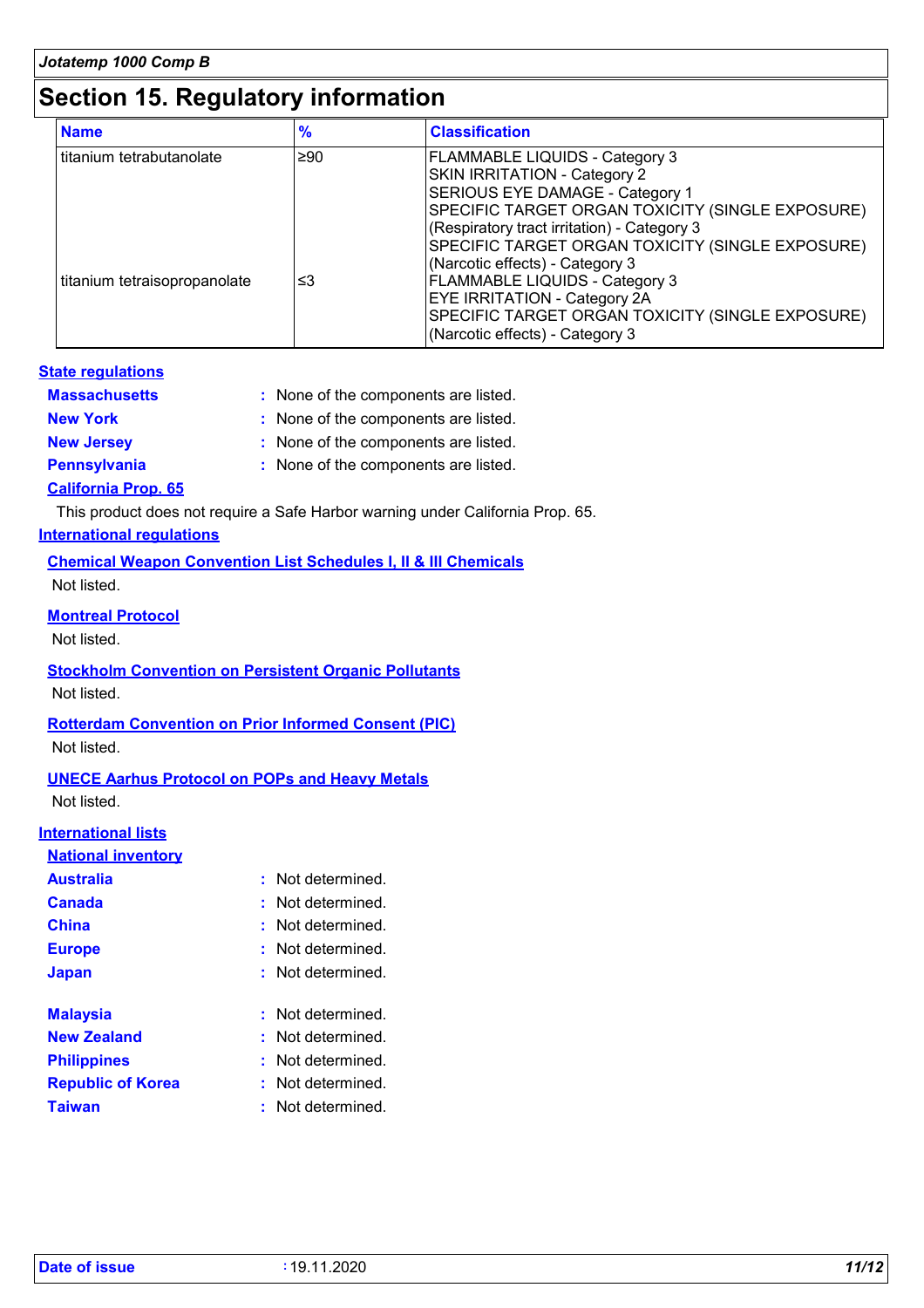### **Section 15. Regulatory information**

| <b>Name</b>                  | %         | <b>Classification</b>                                                                                                                                                                                                                                           |  |
|------------------------------|-----------|-----------------------------------------------------------------------------------------------------------------------------------------------------------------------------------------------------------------------------------------------------------------|--|
| titanium tetrabutanolate     | $\geq 90$ | <b>FLAMMABLE LIQUIDS - Category 3</b><br>SKIN IRRITATION - Category 2<br>SERIOUS EYE DAMAGE - Category 1<br>SPECIFIC TARGET ORGAN TOXICITY (SINGLE EXPOSURE)<br>(Respiratory tract irritation) - Category 3<br>SPECIFIC TARGET ORGAN TOXICITY (SINGLE EXPOSURE) |  |
| titanium tetraisopropanolate | ≤3        | (Narcotic effects) - Category 3<br>FLAMMABLE LIQUIDS - Category 3<br><b>EYE IRRITATION - Category 2A</b><br>SPECIFIC TARGET ORGAN TOXICITY (SINGLE EXPOSURE)<br>(Narcotic effects) - Category 3                                                                 |  |

#### **State regulations**

| <b>Massachusetts</b>       | : None of the components are listed. |
|----------------------------|--------------------------------------|
| <b>New York</b>            | : None of the components are listed. |
| <b>New Jersey</b>          | : None of the components are listed. |
| <b>Pennsylvania</b>        | : None of the components are listed. |
| <b>California Prop. 65</b> |                                      |

This product does not require a Safe Harbor warning under California Prop. 65.

**International regulations**

**Chemical Weapon Convention List Schedules I, II & III Chemicals**

Not listed.

#### **Montreal Protocol**

Not listed.

**Stockholm Convention on Persistent Organic Pollutants** Not listed.

#### **Rotterdam Convention on Prior Informed Consent (PIC)**

Not listed.

**UNECE Aarhus Protocol on POPs and Heavy Metals** Not listed.

#### **International lists**

| <b>Australia</b>         | : Not determined. |
|--------------------------|-------------------|
| Canada                   | : Not determined. |
| China                    | : Not determined. |
| <b>Europe</b>            | : Not determined. |
| <b>Japan</b>             | : Not determined. |
| <b>Malaysia</b>          | : Not determined. |
| <b>New Zealand</b>       | : Not determined. |
| <b>Philippines</b>       | : Not determined. |
| <b>Republic of Korea</b> | : Not determined. |
| <b>Taiwan</b>            | : Not determined. |